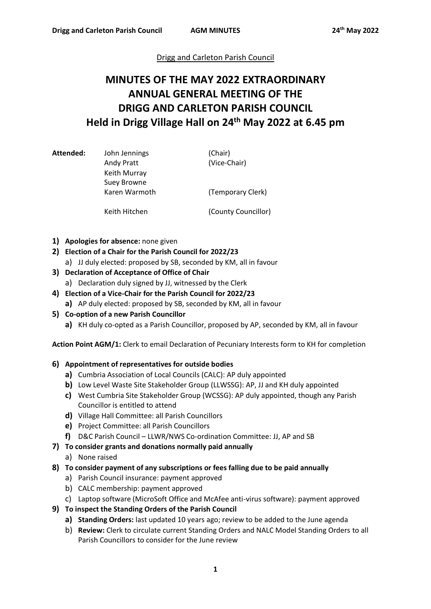## Drigg and Carleton Parish Council

# **MINUTES OF THE MAY 2022 EXTRAORDINARY ANNUAL GENERAL MEETING OF THE DRIGG AND CARLETON PARISH COUNCIL Held in Drigg Village Hall on 24th May 2022 at 6.45 pm**

| Attended: | John Jennings<br>Andy Pratt<br>Keith Murray<br><b>Suey Browne</b> | (Chair)<br>(Vice-Chair) |
|-----------|-------------------------------------------------------------------|-------------------------|
|           | Karen Warmoth                                                     | (Temporary Clerk)       |
|           | Keith Hitchen                                                     | (County Councillor)     |

- **1) Apologies for absence:** none given
- **2) Election of a Chair for the Parish Council for 2022/23**
	- a) JJ duly elected: proposed by SB, seconded by KM, all in favour
- **3) Declaration of Acceptance of Office of Chair**
	- a) Declaration duly signed by JJ, witnessed by the Clerk
- **4) Election of a Vice-Chair for the Parish Council for 2022/23 a)** AP duly elected: proposed by SB, seconded by KM, all in favour
- **5) Co-option of a new Parish Councillor**
	- **a)** KH duly co-opted as a Parish Councillor, proposed by AP, seconded by KM, all in favour

**Action Point AGM/1:** Clerk to email Declaration of Pecuniary Interests form to KH for completion

### **6) Appointment of representatives for outside bodies**

- **a)** Cumbria Association of Local Councils (CALC): AP duly appointed
- **b)** Low Level Waste Site Stakeholder Group (LLWSSG): AP, JJ and KH duly appointed
- **c)** West Cumbria Site Stakeholder Group (WCSSG): AP duly appointed, though any Parish Councillor is entitled to attend
- **d)** Village Hall Committee: all Parish Councillors
- **e)** Project Committee: all Parish Councillors
- **f)** D&C Parish Council LLWR/NWS Co-ordination Committee: JJ, AP and SB

## **7) To consider grants and donations normally paid annually**

- a) None raised
- **8) To consider payment of any subscriptions or fees falling due to be paid annually**
	- a) Parish Council insurance: payment approved
	- b) CALC membership: payment approved
	- c) Laptop software (MicroSoft Office and McAfee anti-virus software): payment approved
- **9) To inspect the Standing Orders of the Parish Council**
	- **a) Standing Orders:** last updated 10 years ago; review to be added to the June agenda
	- b) **Review:** Clerk to circulate current Standing Orders and NALC Model Standing Orders to all Parish Councillors to consider for the June review